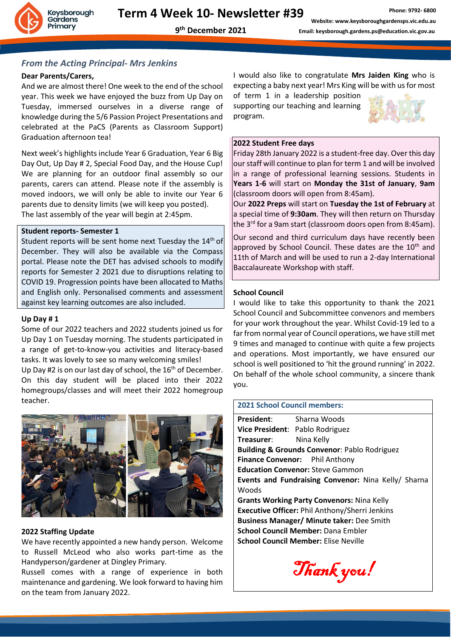

### *From the Acting Principal- Mrs Jenkins*

### **Dear Parents/Carers,**

And we are almost there! One week to the end of the school year. This week we have enjoyed the buzz from Up Day on Tuesday, immersed ourselves in a diverse range of knowledge during the 5/6 Passion Project Presentations and celebrated at the PaCS (Parents as Classroom Support) Graduation afternoon tea!

Next week's highlights include Year 6 Graduation, Year 6 Big Day Out, Up Day # 2, Special Food Day, and the House Cup! We are planning for an outdoor final assembly so our parents, carers can attend. Please note if the assembly is moved indoors, we will only be able to invite our Year 6 parents due to density limits (we will keep you posted). The last assembly of the year will begin at 2:45pm.

### **Student reports- Semester 1**

Student reports will be sent home next Tuesday the 14<sup>th</sup> of December. They will also be available via the Compass portal. Please note the DET has advised schools to modify reports for Semester 2 2021 due to disruptions relating to COVID 19. Progression points have been allocated to Maths and English only. Personalised comments and assessment against key learning outcomes are also included.

### **Up Day # 1**

Some of our 2022 teachers and 2022 students joined us for Up Day 1 on Tuesday morning. The students participated in a range of get-to-know-you activities and literacy-based tasks. It was lovely to see so many welcoming smiles! Up Day #2 is on our last day of school, the  $16<sup>th</sup>$  of December. On this day student will be placed into their 2022 homegroups/classes and will meet their 2022 homegroup teacher.



### **2022 Staffing Update**

We have recently appointed a new handy person. Welcome to Russell McLeod who also works part-time as the Handyperson/gardener at Dingley Primary.

Russell comes with a range of experience in both maintenance and gardening. We look forward to having him on the team from January 2022.

I would also like to congratulate **Mrs Jaiden King** who is expecting a baby next year! Mrs King will be with us for most

of term 1 in a leadership position supporting our teaching and learning program.



#### **2022 Student Free days**

Friday 28th January 2022 is a student-free day. Over this day our staff will continue to plan for term 1 and will be involved in a range of professional learning sessions. Students in **Years 1-6** will start on **Monday the 31st of January**, **9am** (classroom doors will open from 8:45am).

Our **2022 Preps** will start on **Tuesday the 1st of February** at a special time of **9:30am**. They will then return on Thursday the 3<sup>rd</sup> for a 9am start (classroom doors open from 8:45am).

Our second and third curriculum days have recently been approved by School Council. These dates are the  $10<sup>th</sup>$  and 11th of March and will be used to run a 2-day International Baccalaureate Workshop with staff.

### **School Council**

I would like to take this opportunity to thank the 2021 School Council and Subcommittee convenors and members for your work throughout the year. Whilst Covid-19 led to a far from normal year of Council operations, we have still met 9 times and managed to continue with quite a few projects and operations. Most importantly, we have ensured our school is well positioned to 'hit the ground running' in 2022. On behalf of the whole school community, a sincere thank you.

### **2021 School Council members:**

**President**: Sharna Woods **Vice President**: Pablo Rodriguez **Treasurer**: Nina Kelly **Building & Grounds Convenor**: Pablo Rodriguez **Finance Convenor:** Phil Anthony **Education Convenor:** Steve Gammon **Events and Fundraising Convenor:** Nina Kelly/ Sharna Woods **Grants Working Party Convenors:** Nina Kelly **Executive Officer:** Phil Anthony/Sherri Jenkins **Business Manager/ Minute taker:** Dee Smith **School Council Member:** Dana Embler **School Council Member:** Elise Neville

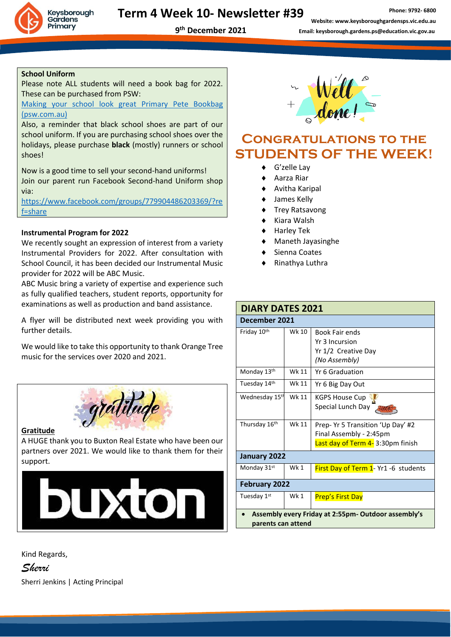

### **Term 4 Week 10- Newsletter #39**

**Phone: 9792- 6800 Website: www.keysboroughgardensps.vic.edu.au Email: keysborough.gardens.ps@education.vic.gov.au**

### **School Uniform**

Please note ALL students will need a book bag for 2022. These can be purchased from PSW:

[Making your school look great Primary Pete Bookbag](https://www.psw.com.au/19622-8300396-19622-4.html)  [\(psw.com.au\)](https://www.psw.com.au/19622-8300396-19622-4.html)

Also, a reminder that black school shoes are part of our school uniform. If you are purchasing school shoes over the holidays, please purchase **black** (mostly) runners or school shoes!

Now is a good time to sell your second-hand uniforms! Join our parent run Facebook Second-hand Uniform shop via:

[https://www.facebook.com/groups/779904486203369/?re](https://www.facebook.com/groups/779904486203369/?ref=share) [f=share](https://www.facebook.com/groups/779904486203369/?ref=share)

### **Instrumental Program for 2022**

We recently sought an expression of interest from a variety Instrumental Providers for 2022. After consultation with School Council, it has been decided our Instrumental Music provider for 2022 will be ABC Music.

ABC Music bring a variety of expertise and experience such as fully qualified teachers, student reports, opportunity for examinations as well as production and band assistance.

A flyer will be distributed next week providing you with further details.

We would like to take this opportunity to thank Orange Tree music for the services over 2020 and 2021.



### **Gratitude**

A HUGE thank you to Buxton Real Estate who have been our partners over 2021. We would like to thank them for their support.



Kind Regards,

*Sherri* Sherri Jenkins | Acting Principal



## **Congratulations to the STUDENTS OF THE WEEK!**

- G'zelle Lay
- Aarza Riar
- Avitha Karipal
- James Kelly
- ◆ Trey Ratsavong
- Kiara Walsh
- Harley Tek
- Maneth Jayasinghe
- Sienna Coates
- Rinathya Luthra

| <b>DIARY DATES 2021</b>                                                   |            |                                                                                                  |
|---------------------------------------------------------------------------|------------|--------------------------------------------------------------------------------------------------|
| December 2021                                                             |            |                                                                                                  |
| Friday 10th                                                               | Wk 10      | <b>Book Fair ends</b><br>Yr 3 Incursion<br>Yr 1/2 Creative Day<br>(No Assembly)                  |
| Monday 13th                                                               | Wk 11      | Yr 6 Graduation                                                                                  |
| Tuesday 14th                                                              | Wk 11      | Yr 6 Big Day Out                                                                                 |
| Wednesday 15th                                                            | Wk 11      | <b>KGPS House Cup</b><br>Special Lunch Day                                                       |
| Thursday 16th                                                             | Wk 11      | Prep- Yr 5 Transition 'Up Day' #2<br>Final Assembly - 2:45pm<br>Last day of Term 4-3:30pm finish |
| January 2022                                                              |            |                                                                                                  |
| Monday 31st                                                               | Wk 1       | First Day of Term 1- Yr1 -6 students                                                             |
| <b>February 2022</b>                                                      |            |                                                                                                  |
| Tuesday 1st                                                               | <b>Wk1</b> | Prep's First Day                                                                                 |
| Assembly every Friday at 2:55pm- Outdoor assembly's<br>parents can attend |            |                                                                                                  |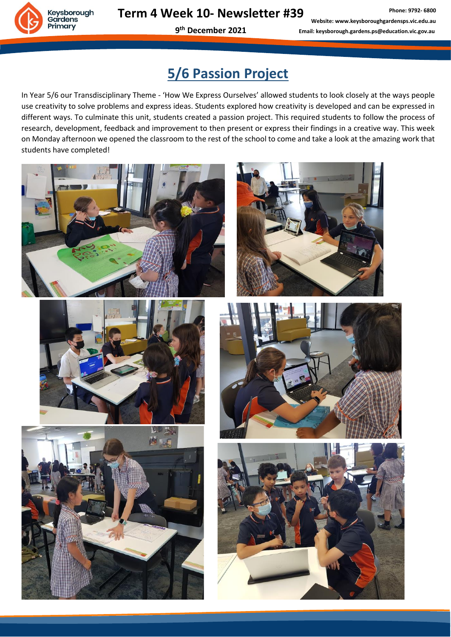**9 th December 2021**

**Phone: 9792- 6800 Website: www.keysboroughgardensps.vic.edu.au Email: keysborough.gardens.ps@education.vic.gov.au**

# **5/6 Passion Project**

In Year 5/6 our Transdisciplinary Theme - 'How We Express Ourselves' allowed students to look closely at the ways people use creativity to solve problems and express ideas. Students explored how creativity is developed and can be expressed in different ways. To culminate this unit, students created a passion project. This required students to follow the process of research, development, feedback and improvement to then present or express their findings in a creative way. This week on Monday afternoon we opened the classroom to the rest of the school to come and take a look at the amazing work that students have completed!